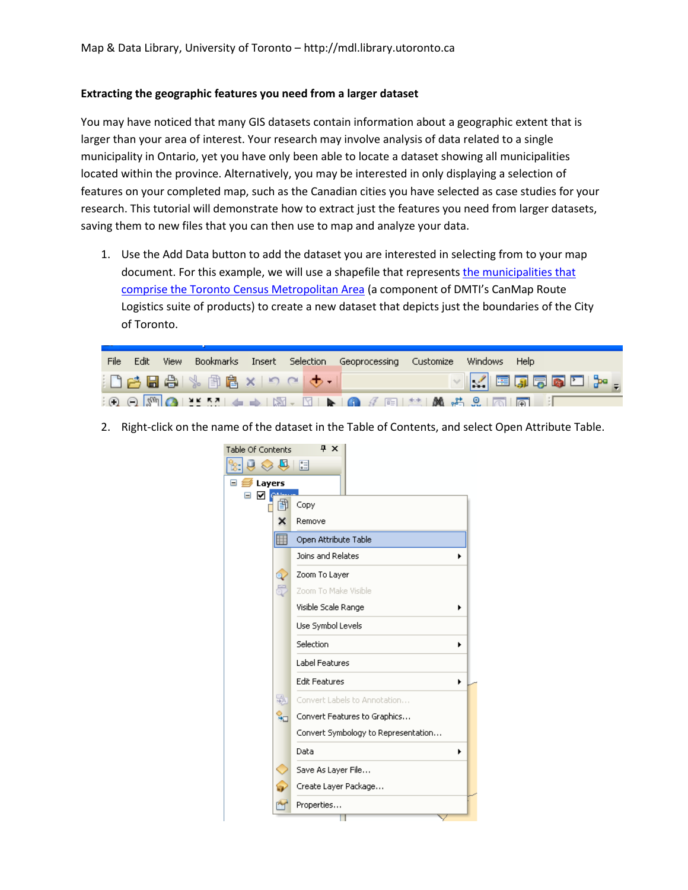## **Extracting the geographic features you need from a larger dataset**

You may have noticed that many GIS datasets contain information about a geographic extent that is larger than your area of interest. Your research may involve analysis of data related to a single municipality in Ontario, yet you have only been able to locate a dataset showing all municipalities located within the province. Alternatively, you may be interested in only displaying a selection of features on your completed map, such as the Canadian cities you have selected as case studies for your research. This tutorial will demonstrate how to extract just the features you need from larger datasets, saving them to new files that you can then use to map and analyze your data.

1. Use the Add Data button to add the dataset you are interested in selecting from to your map document. For this example, we will use a shapefile that represents the municipalities that [comprise the Toronto Census Metropolitan Area](http://maps.library.utoronto.ca/cgi-bin/datainventory.pl?idnum=2072&display=full) (a component of DMTI's CanMap Route Logistics suite of products) to create a new dataset that depicts just the boundaries of the City of Toronto.

|  |  |                                               | File Edit View Bookmarks Insert Selection Geoprocessing Customize Windows Help |  |                        |
|--|--|-----------------------------------------------|--------------------------------------------------------------------------------|--|------------------------|
|  |  | ┆凸բ\$BB   %   俞良 ×   つ C   <del>↓ -</del>   │ |                                                                                |  | $ {\bf v} $ kieggebin. |
|  |  |                                               |                                                                                |  |                        |

2. Right-click on the name of the dataset in the Table of Contents, and select Open Attribute Table.

 $\overline{a}$   $\overline{a}$ 

| <b>Table Of Contents</b>     | $4 \times$                          |  |  |  |  |
|------------------------------|-------------------------------------|--|--|--|--|
| N,                           | 三                                   |  |  |  |  |
| Layers<br>Ξ<br>$\Rightarrow$ |                                     |  |  |  |  |
| ☑<br>Ξ<br>蕳                  | Copy                                |  |  |  |  |
| ×                            | Remove                              |  |  |  |  |
| 噩                            | Open Attribute Table                |  |  |  |  |
|                              | Joins and Relates                   |  |  |  |  |
| a                            | Zoom To Layer                       |  |  |  |  |
| 5                            | Zoom To Make Visible                |  |  |  |  |
|                              | Visible Scale Range                 |  |  |  |  |
|                              | Use Symbol Levels                   |  |  |  |  |
|                              | Selection                           |  |  |  |  |
|                              | <b>Label Features</b>               |  |  |  |  |
|                              | <b>Edit Features</b>                |  |  |  |  |
| 蟲                            | Convert Labels to Annotation        |  |  |  |  |
| ਼੍ਰੋ                         | Convert Features to Graphics        |  |  |  |  |
|                              | Convert Symbology to Representation |  |  |  |  |
|                              | Data                                |  |  |  |  |
|                              | Save As Layer File                  |  |  |  |  |
|                              | Create Layer Package                |  |  |  |  |
|                              | Properties                          |  |  |  |  |
|                              |                                     |  |  |  |  |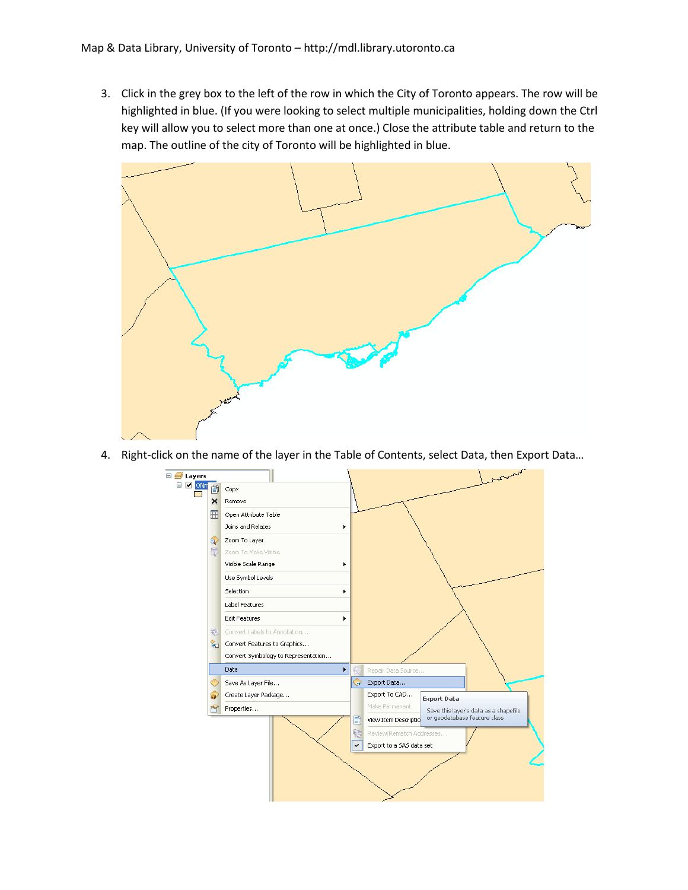3. Click in the grey box to the left of the row in which the City of Toronto appears. The row will be highlighted in blue. (If you were looking to select multiple municipalities, holding down the Ctrl key will allow you to select more than one at once.) Close the attribute table and return to the map. The outline of the city of Toronto will be highlighted in blue.



4. Right-click on the name of the layer in the Table of Contents, select Data, then Export Data…